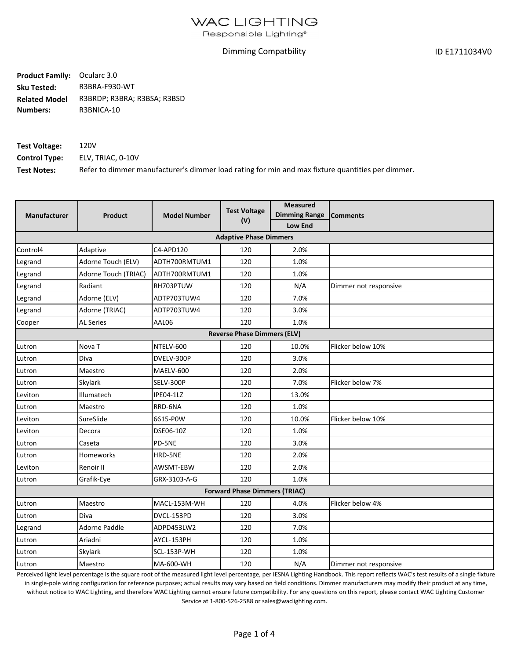### **WAC LIGHTING**

Responsible Lighting®

#### Dimming Compatbility

ID E1711034V0

**Product Family:** Ocularc 3.0 **Sku Tested:**  R3BRA-F930-WT R3BRDP; R3BRA; R3BSA; R3BSD R3BNICA-10 **Related Model Numbers:**

| <b>Test Voltage:</b> | 120V                                                                                             |
|----------------------|--------------------------------------------------------------------------------------------------|
| <b>Control Type:</b> | ELV. TRIAC. 0-10V                                                                                |
| <b>Test Notes:</b>   | Refer to dimmer manufacturer's dimmer load rating for min and max fixture quantities per dimmer. |

| Manufacturer | <b>Product</b>       | <b>Model Number</b> | <b>Test Voltage</b><br>(V)           | <b>Measured</b><br><b>Dimming Range</b><br><b>Low End</b> | <b>Comments</b>       |
|--------------|----------------------|---------------------|--------------------------------------|-----------------------------------------------------------|-----------------------|
|              |                      |                     | <b>Adaptive Phase Dimmers</b>        |                                                           |                       |
| Control4     | Adaptive             | C4-APD120           | 120                                  | 2.0%                                                      |                       |
| Legrand      | Adorne Touch (ELV)   | ADTH700RMTUM1       | 120                                  | 1.0%                                                      |                       |
| Legrand      | Adorne Touch (TRIAC) | ADTH700RMTUM1       | 120                                  | 1.0%                                                      |                       |
| Legrand      | Radiant              | RH703PTUW           | 120                                  | N/A                                                       | Dimmer not responsive |
| Legrand      | Adorne (ELV)         | ADTP703TUW4         | 120                                  | 7.0%                                                      |                       |
| Legrand      | Adorne (TRIAC)       | ADTP703TUW4         | 120                                  | 3.0%                                                      |                       |
| Cooper       | <b>AL Series</b>     | AAL06               | 120                                  | 1.0%                                                      |                       |
|              |                      |                     | <b>Reverse Phase Dimmers (ELV)</b>   |                                                           |                       |
| Lutron       | Nova <sub>T</sub>    | NTELV-600           | 120                                  | 10.0%                                                     | Flicker below 10%     |
| Lutron       | Diva                 | DVELV-300P          | 120                                  | 3.0%                                                      |                       |
| Lutron       | Maestro              | MAELV-600           | 120                                  | 2.0%                                                      |                       |
| Lutron       | Skylark              | SELV-300P           | 120                                  | 7.0%                                                      | Flicker below 7%      |
| Leviton      | Illumatech           | IPE04-1LZ           | 120                                  | 13.0%                                                     |                       |
| Lutron       | Maestro              | RRD-6NA             | 120                                  | 1.0%                                                      |                       |
| Leviton      | SureSlide            | 6615-P0W            | 120                                  | 10.0%                                                     | Flicker below 10%     |
| Leviton      | Decora               | DSE06-10Z           | 120                                  | 1.0%                                                      |                       |
| Lutron       | Caseta               | PD-5NE              | 120                                  | 3.0%                                                      |                       |
| Lutron       | Homeworks            | HRD-5NE             | 120                                  | 2.0%                                                      |                       |
| Leviton      | Renoir II            | AWSMT-EBW           | 120                                  | 2.0%                                                      |                       |
| Lutron       | Grafik-Eye           | GRX-3103-A-G        | 120                                  | 1.0%                                                      |                       |
|              |                      |                     | <b>Forward Phase Dimmers (TRIAC)</b> |                                                           |                       |
| Lutron       | Maestro              | MACL-153M-WH        | 120                                  | 4.0%                                                      | Flicker below 4%      |
| Lutron       | Diva                 | DVCL-153PD          | 120                                  | 3.0%                                                      |                       |
| Legrand      | <b>Adorne Paddle</b> | ADPD453LW2          | 120                                  | 7.0%                                                      |                       |
| Lutron       | Ariadni              | AYCL-153PH          | 120                                  | 1.0%                                                      |                       |
| Lutron       | Skylark              | SCL-153P-WH         | 120                                  | 1.0%                                                      |                       |
| Lutron       | Maestro              | MA-600-WH           | 120                                  | N/A                                                       | Dimmer not responsive |

Perceived light level percentage is the square root of the measured light level percentage, per IESNA Lighting Handbook. This report reflects WAC's test results of a single fixture

in single-pole wiring configuration for reference purposes; actual results may vary based on field conditions. Dimmer manufacturers may modify their product at any time, without notice to WAC Lighting, and therefore WAC Lighting cannot ensure future compatibility. For any questions on this report, please contact WAC Lighting Customer Service at 1-800-526-2588 or sales@waclighting.com.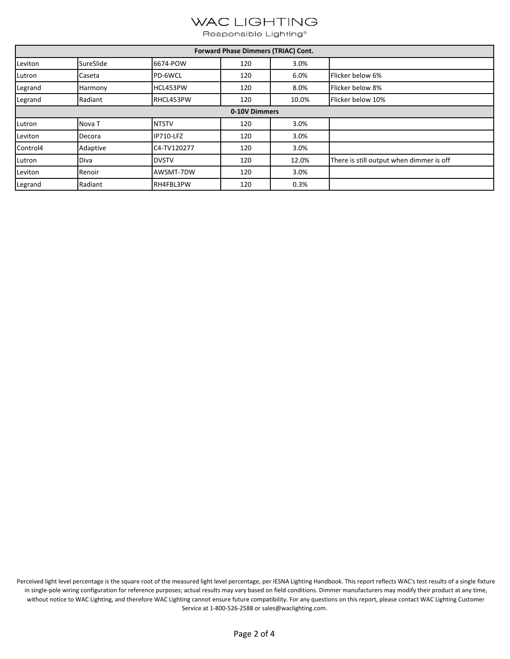# WAC LIGHTING

Responsible Lighting®

| Forward Phase Dimmers (TRIAC) Cont. |                   |              |     |       |                                          |  |
|-------------------------------------|-------------------|--------------|-----|-------|------------------------------------------|--|
| Leviton                             | SureSlide         | 6674-POW     | 120 | 3.0%  |                                          |  |
| Lutron                              | Caseta            | PD-6WCL      | 120 | 6.0%  | Flicker below 6%                         |  |
| Legrand                             | Harmony           | HCL453PW     | 120 | 8.0%  | Flicker below 8%                         |  |
| Legrand                             | Radiant           | RHCL453PW    | 120 | 10.0% | Flicker below 10%                        |  |
| 0-10V Dimmers                       |                   |              |     |       |                                          |  |
| Lutron                              | Nova <sub>T</sub> | <b>NTSTV</b> | 120 | 3.0%  |                                          |  |
| Leviton                             | Decora            | IP710-LFZ    | 120 | 3.0%  |                                          |  |
| Control4                            | Adaptive          | C4-TV120277  | 120 | 3.0%  |                                          |  |
| Lutron                              | Diva              | <b>DVSTV</b> | 120 | 12.0% | There is still output when dimmer is off |  |
| Leviton                             | Renoir            | AWSMT-7DW    | 120 | 3.0%  |                                          |  |
| Legrand                             | Radiant           | RH4FBL3PW    | 120 | 0.3%  |                                          |  |

Perceived light level percentage is the square root of the measured light level percentage, per IESNA Lighting Handbook. This report reflects WAC's test results of a single fixture in single-pole wiring configuration for reference purposes; actual results may vary based on field conditions. Dimmer manufacturers may modify their product at any time, without notice to WAC Lighting, and therefore WAC Lighting cannot ensure future compatibility. For any questions on this report, please contact WAC Lighting Customer Service at 1-800-526-2588 or sales@waclighting.com.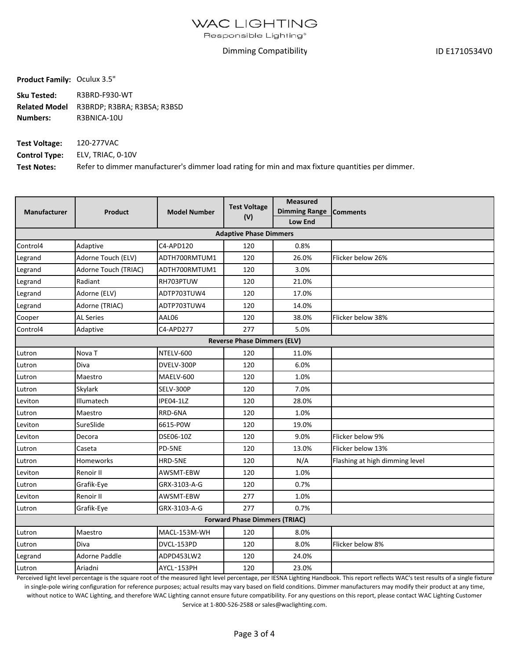Responsible Lighting<sup>®</sup>

#### Dimming Compatibility

ID E1710534V0

**Product Family:** Oculux 3.5"

**Sku Tested:** R3BRD‐F930‐WT **Related Model Numbers:** R3BRDP; R3BRA; R3BSA; R3BSD R3BNICA‐10U

**Test Voltage: Control Type: Test Notes:** ELV, TRIAC, 0‐10V Refer to dimmer manufacturer's dimmer load rating for min and max fixture quantities per dimmer. 120‐277VAC

| Manufacturer                         | <b>Product</b>       | <b>Model Number</b> | <b>Test Voltage</b><br>(V)         | <b>Measured</b><br><b>Dimming Range</b><br><b>Low End</b> | <b>Comments</b>                |  |  |
|--------------------------------------|----------------------|---------------------|------------------------------------|-----------------------------------------------------------|--------------------------------|--|--|
| <b>Adaptive Phase Dimmers</b>        |                      |                     |                                    |                                                           |                                |  |  |
| Control4                             | Adaptive             | C4-APD120           | 120                                | 0.8%                                                      |                                |  |  |
| Legrand                              | Adorne Touch (ELV)   | ADTH700RMTUM1       | 120                                | 26.0%                                                     | Flicker below 26%              |  |  |
| Legrand                              | Adorne Touch (TRIAC) | ADTH700RMTUM1       | 120                                | 3.0%                                                      |                                |  |  |
| Legrand                              | Radiant              | RH703PTUW           | 120                                | 21.0%                                                     |                                |  |  |
| Legrand                              | Adorne (ELV)         | ADTP703TUW4         | 120                                | 17.0%                                                     |                                |  |  |
| Legrand                              | Adorne (TRIAC)       | ADTP703TUW4         | 120                                | 14.0%                                                     |                                |  |  |
| Cooper                               | <b>AL Series</b>     | AAL06               | 120                                | 38.0%                                                     | Flicker below 38%              |  |  |
| Control4                             | Adaptive             | C4-APD277           | 277                                | 5.0%                                                      |                                |  |  |
|                                      |                      |                     | <b>Reverse Phase Dimmers (ELV)</b> |                                                           |                                |  |  |
| Lutron                               | Nova <sub>T</sub>    | NTELV-600           | 120                                | 11.0%                                                     |                                |  |  |
| Lutron                               | Diva                 | DVELV-300P          | 120                                | 6.0%                                                      |                                |  |  |
| Lutron                               | Maestro              | MAELV-600           | 120                                | 1.0%                                                      |                                |  |  |
| Lutron                               | <b>Skylark</b>       | SELV-300P           | 120                                | 7.0%                                                      |                                |  |  |
| Leviton                              | Illumatech           | IPE04-1LZ           | 120                                | 28.0%                                                     |                                |  |  |
| Lutron                               | Maestro              | RRD-6NA             | 120                                | 1.0%                                                      |                                |  |  |
| Leviton                              | SureSlide            | 6615-P0W            | 120                                | 19.0%                                                     |                                |  |  |
| Leviton                              | Decora               | DSE06-10Z           | 120                                | 9.0%                                                      | Flicker below 9%               |  |  |
| Lutron                               | Caseta               | PD-5NE              | 120                                | 13.0%                                                     | Flicker below 13%              |  |  |
| Lutron                               | Homeworks            | HRD-5NE             | 120                                | N/A                                                       | Flashing at high dimming level |  |  |
| Leviton                              | Renoir II            | AWSMT-EBW           | 120                                | 1.0%                                                      |                                |  |  |
| Lutron                               | Grafik-Eye           | GRX-3103-A-G        | 120                                | 0.7%                                                      |                                |  |  |
| Leviton                              | Renoir II            | AWSMT-EBW           | 277                                | 1.0%                                                      |                                |  |  |
| Lutron                               | Grafik-Eye           | GRX-3103-A-G        | 277                                | 0.7%                                                      |                                |  |  |
| <b>Forward Phase Dimmers (TRIAC)</b> |                      |                     |                                    |                                                           |                                |  |  |
| Lutron                               | Maestro              | MACL-153M-WH        | 120                                | 8.0%                                                      |                                |  |  |
| Lutron                               | Diva                 | DVCL-153PD          | 120                                | 8.0%                                                      | Flicker below 8%               |  |  |
| Legrand                              | Adorne Paddle        | ADPD453LW2          | 120                                | 24.0%                                                     |                                |  |  |
| Lutron                               | Ariadni              | AYCL-153PH          | 120                                | 23.0%                                                     |                                |  |  |

Perceived light level percentage is the square root of the measured light level percentage, per IESNA Lighting Handbook. This report reflects WAC's test results of a single fixture in single-pole wiring configuration for reference purposes; actual results may vary based on field conditions. Dimmer manufacturers may modify their product at any time, without notice to WAC Lighting, and therefore WAC Lighting cannot ensure future compatibility. For any questions on this report, please contact WAC Lighting Customer Service at 1‐800‐526‐2588 or sales@waclighting.com.